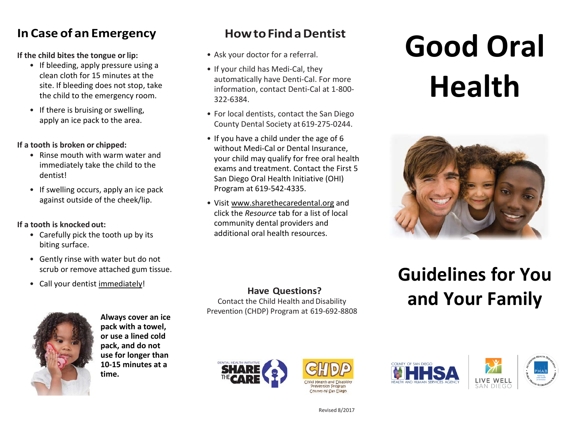#### **In Case of an Emergency**

**If the child bites the tongue orlip:**

- If bleeding, apply pressure using a clean cloth for 15 minutes at the site. If bleeding does not stop, take the child to the emergency room.
- If there is bruising or swelling, apply an ice pack to the area.

#### **If a tooth is broken or chipped:**

- Rinse mouth with warm water and immediately take the child to the dentist!
- If swelling occurs, apply an ice pack against outside of the cheek/lip.

#### **If a tooth is knocked out:**

- Carefully pick the tooth up by its biting surface.
- Gently rinse with water but do not scrub or remove attached gum tissue.
- Call your dentist immediately!



**Always cover an ice pack with a towel, or use a lined cold pack, and do not use for longer than 10-15 minutes at a time.**

#### **How to Find a Dentist**

- Ask your doctor for a referral.
- If your child has Medi-Cal, they automatically have Denti-Cal. For more information, contact Denti-Cal at 1-800- 322-6384.
- For local dentists, contact the San Diego County Dental Society at 619-275-0244.
- If you have a child under the age of 6 without Medi-Cal or Dental Insurance, your child may qualify for free oral health exams and treatment. Contact the First 5 San Diego Oral Health Initiative (OHI) Program at 619-542-4335.
- Visi[t www.sharethecaredental.org](http://www.sharethecaredental.org/) and click the *Resource* tab for a list of local community dental providers and additional oral health resources.

# **Good Oral Health**



#### **Have Questions?**

Contact the Child Health and Disability Prevention (CHDP) Program at 619-692-8808

### **Guidelines for You and Your Family**









Revised 8/2017